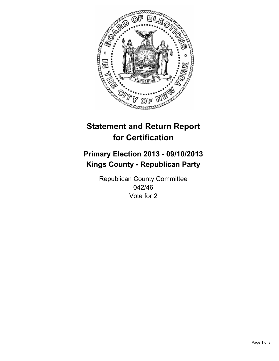

# **Statement and Return Report for Certification**

# **Primary Election 2013 - 09/10/2013 Kings County - Republican Party**

Republican County Committee 042/46 Vote for 2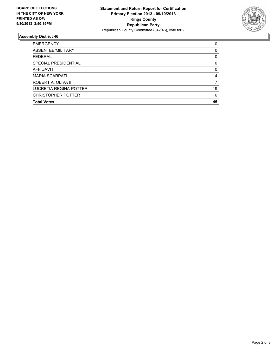

## **Assembly District 46**

| <b>EMERGENCY</b>          | 0        |
|---------------------------|----------|
| ABSENTEE/MILITARY         | $\Omega$ |
| <b>FEDERAL</b>            | 0        |
| SPECIAL PRESIDENTIAL      | 0        |
| AFFIDAVIT                 | $\Omega$ |
| <b>MARIA SCARPATI</b>     | 14       |
| ROBERT A. OLIVA III       |          |
| LUCRETIA REGINA-POTTER    | 19       |
| <b>CHRISTOPHER POTTER</b> | 6        |
| <b>Total Votes</b>        | 46       |